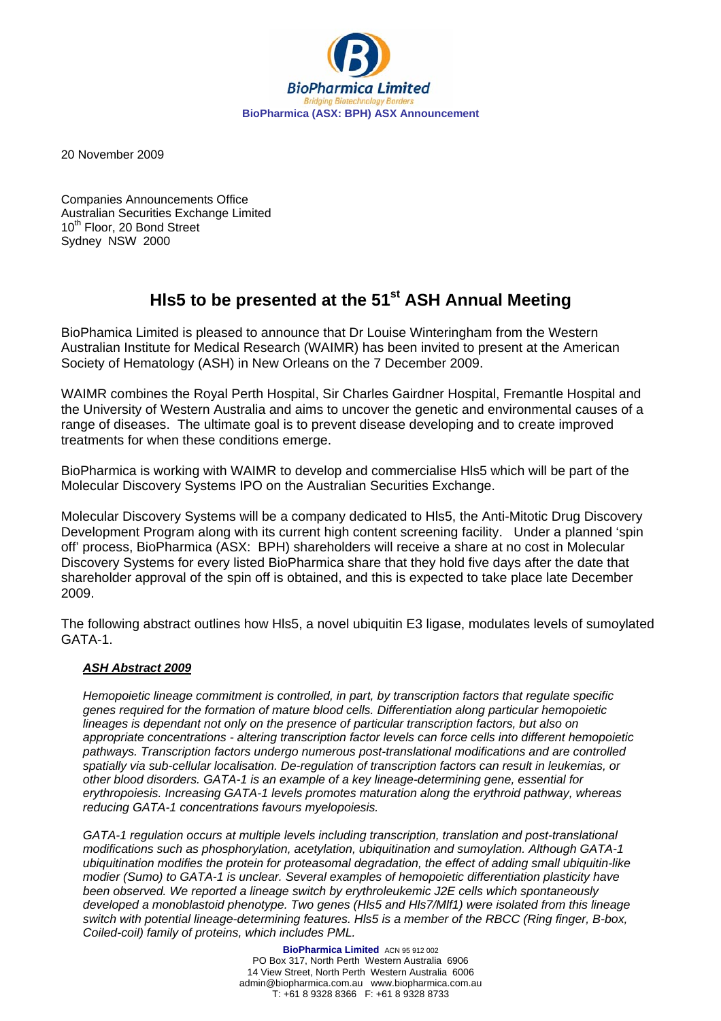

20 November 2009

Companies Announcements Office Australian Securities Exchange Limited 10<sup>th</sup> Floor, 20 Bond Street Sydney NSW 2000

## **HIs5 to be presented at the 51<sup>st</sup> ASH Annual Meeting**

BioPhamica Limited is pleased to announce that Dr Louise Winteringham from the Western Australian Institute for Medical Research (WAIMR) has been invited to present at the American Society of Hematology (ASH) in New Orleans on the 7 December 2009.

WAIMR combines the Royal Perth Hospital, Sir Charles Gairdner Hospital, Fremantle Hospital and the University of Western Australia and aims to uncover the genetic and environmental causes of a range of diseases. The ultimate goal is to prevent disease developing and to create improved treatments for when these conditions emerge.

BioPharmica is working with WAIMR to develop and commercialise Hls5 which will be part of the Molecular Discovery Systems IPO on the Australian Securities Exchange.

Molecular Discovery Systems will be a company dedicated to Hls5, the Anti-Mitotic Drug Discovery Development Program along with its current high content screening facility. Under a planned 'spin off' process, BioPharmica (ASX: BPH) shareholders will receive a share at no cost in Molecular Discovery Systems for every listed BioPharmica share that they hold five days after the date that shareholder approval of the spin off is obtained, and this is expected to take place late December 2009.

The following abstract outlines how Hls5, a novel ubiquitin E3 ligase, modulates levels of sumoylated GATA-1.

## *ASH Abstract 2009*

*Hemopoietic lineage commitment is controlled, in part, by transcription factors that regulate specific genes required for the formation of mature blood cells. Differentiation along particular hemopoietic lineages is dependant not only on the presence of particular transcription factors, but also on appropriate concentrations - altering transcription factor levels can force cells into different hemopoietic pathways. Transcription factors undergo numerous post-translational modifications and are controlled spatially via sub-cellular localisation. De-regulation of transcription factors can result in leukemias, or other blood disorders. GATA-1 is an example of a key lineage-determining gene, essential for erythropoiesis. Increasing GATA-1 levels promotes maturation along the erythroid pathway, whereas reducing GATA-1 concentrations favours myelopoiesis.* 

*GATA-1 regulation occurs at multiple levels including transcription, translation and post-translational modifications such as phosphorylation, acetylation, ubiquitination and sumoylation. Although GATA-1 ubiquitination modifies the protein for proteasomal degradation, the effect of adding small ubiquitin-like modier (Sumo) to GATA-1 is unclear. Several examples of hemopoietic differentiation plasticity have been observed. We reported a lineage switch by erythroleukemic J2E cells which spontaneously developed a monoblastoid phenotype. Two genes (Hls5 and Hls7/Mlf1) were isolated from this lineage switch with potential lineage-determining features. Hls5 is a member of the RBCC (Ring finger, B-box, Coiled-coil) family of proteins, which includes PML.*